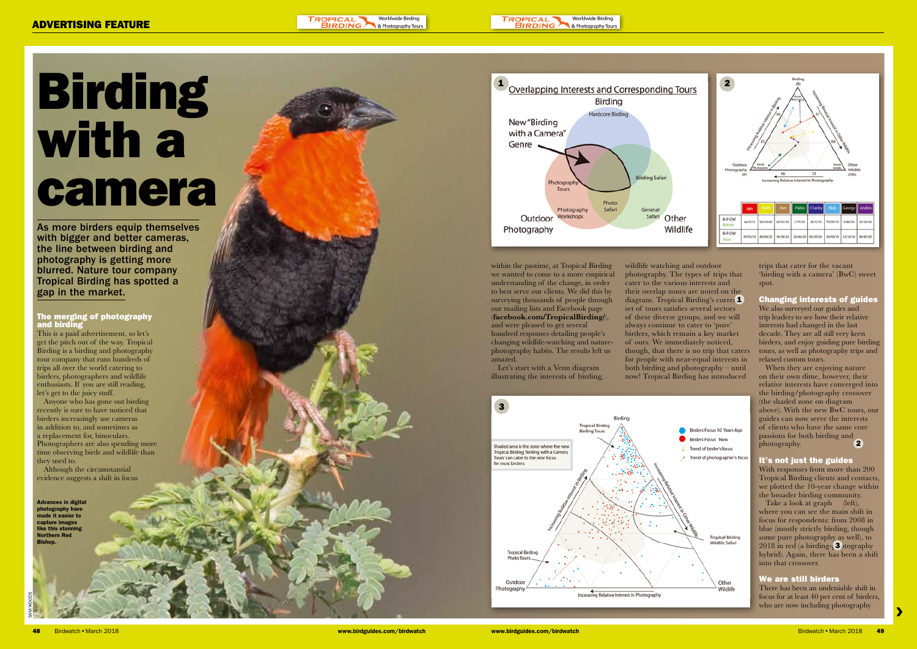#### TROPICAL Worldwide Birdino **BIRDING** & Photography Tou

**TROPICAL** Worldwide Birding **BIRDING** & Photography Tours

> trips that cater for the vacant 'birding with a camera' (BwC) sweet spot.

# Changing interests of guides We also surveyed our guides and

trip leaders to see how their relative interests had changed in the last decade. They are all still very keen birders, and enjoy guiding pure birding tours, as well as photography trips and relaxed custom tours.

When they are enjoying nature on their own dime, however, their relative interests have converged into the birding/photography crossover (the shaded zone on diagram above). With the new BwC tours, our guides can now serve the interests of clients who have the same core passions for both birding and photography.  $\overline{2}$ 

Take a look at graph (left), where you can see the main shift in focus for respondents: from 2008 in blue (mostly strictly birding, though some pure photography as well), to 2018 in red (a birding- $\sqrt{3}$  otography hybrid). Again, there has been a shift into that crossover.

# It's not just the guides

With responses from more than 200 Tropical Birding clients and contacts, we plotted the 10-year change within the broader birding community.

# We are still birders

There has been an undeniable shift in focus for at least 40 per cent of birders, who are now including photography

 $\blacktriangleright$ 

As more birders equip themselves with bigger and better cameras, the line between birding and photography is getting more blurred. Nature tour company Tropical Birding has spotted a gap in the market.

wildlife watching and outdoor photography. The types of trips that cater to the various interests and their overlap zones are noted on the diagram. Tropical Birding's current set of tours satisfies several sectors of these diverse groups, and we will always continue to cater to 'pure' birders, which remain a key market of ours. We immediately noticed, though, that there is no trip that caters for people with near-equal interests in both birding and photography – until

now! Tropical Birding has introduced

- 
- 
- 

# Birding with a camera

within the pastime, at Tropical Birding we wanted to come to a more empirical understanding of the change, in order to best serve our clients. We did this by surveying thousands of people through our mailing lists and Facebook page (facebook.com/TropicalBirding/), and were pleased to get several hundred responses detailing people's changing wildlife-watching and naturephotography habits. The results left us amazed.

Let's start with a Venn diagram illustrating the interests of birding,

Advances in digital photography have made it easier to capture images like this stunning Northern Red Bishop.

SAM WOODS





# The merging of photography and birding

This is a paid advertisement, so let's get the pitch out of the way. Tropical Birding is a birding and photography tour company that runs hundreds of trips all over the world catering to birders, photographers and wildlife enthusiasts. If you are still reading, let's get to the juicy stuff.

Anyone who has gone out birding recently is sure to have noticed that birders increasingly use cameras in addition to, and sometimes as a replacement for, binoculars. Photographers are also spending more time observing birds and wildlife than they used to.

Although the circumstantial evidence suggests a shift in focus